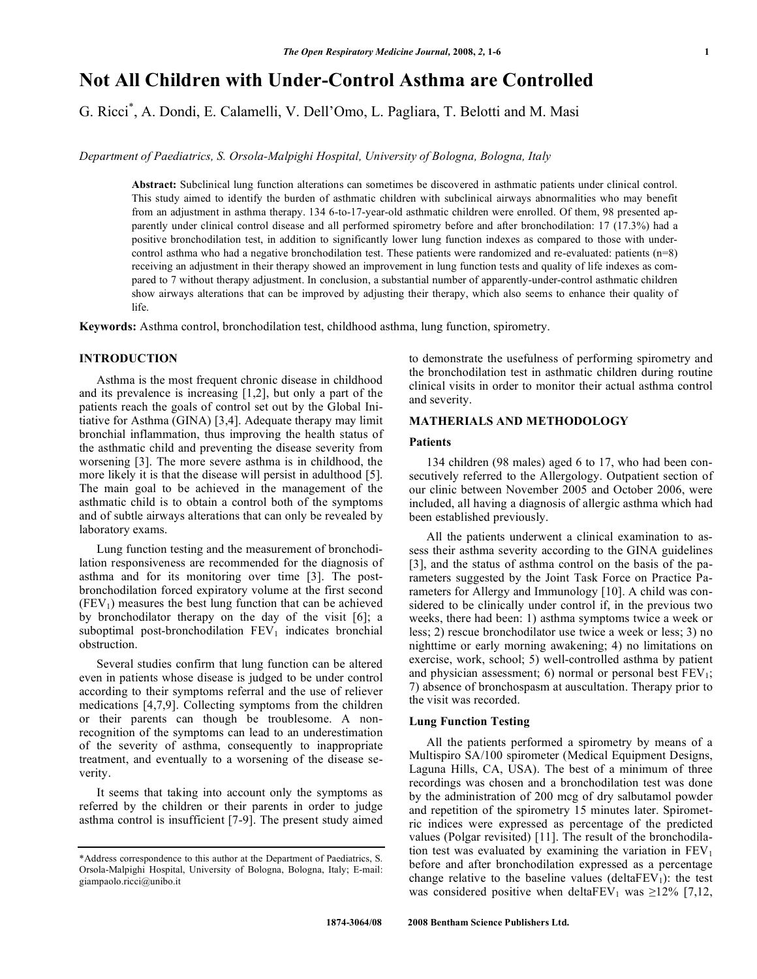# **Not All Children with Under-Control Asthma are Controlled**

G. Ricci\* , A. Dondi, E. Calamelli, V. Dell'Omo, L. Pagliara, T. Belotti and M. Masi

*Department of Paediatrics, S. Orsola-Malpighi Hospital, University of Bologna, Bologna, Italy* 

**Abstract:** Subclinical lung function alterations can sometimes be discovered in asthmatic patients under clinical control. This study aimed to identify the burden of asthmatic children with subclinical airways abnormalities who may benefit from an adjustment in asthma therapy. 134 6-to-17-year-old asthmatic children were enrolled. Of them, 98 presented apparently under clinical control disease and all performed spirometry before and after bronchodilation: 17 (17.3%) had a positive bronchodilation test, in addition to significantly lower lung function indexes as compared to those with undercontrol asthma who had a negative bronchodilation test. These patients were randomized and re-evaluated: patients  $(n=8)$ receiving an adjustment in their therapy showed an improvement in lung function tests and quality of life indexes as compared to 7 without therapy adjustment. In conclusion, a substantial number of apparently-under-control asthmatic children show airways alterations that can be improved by adjusting their therapy, which also seems to enhance their quality of life.

**Keywords:** Asthma control, bronchodilation test, childhood asthma, lung function, spirometry.

# **INTRODUCTION**

 Asthma is the most frequent chronic disease in childhood and its prevalence is increasing [1,2], but only a part of the patients reach the goals of control set out by the Global Initiative for Asthma (GINA) [3,4]. Adequate therapy may limit bronchial inflammation, thus improving the health status of the asthmatic child and preventing the disease severity from worsening [3]. The more severe asthma is in childhood, the more likely it is that the disease will persist in adulthood [5]. The main goal to be achieved in the management of the asthmatic child is to obtain a control both of the symptoms and of subtle airways alterations that can only be revealed by laboratory exams.

 Lung function testing and the measurement of bronchodilation responsiveness are recommended for the diagnosis of asthma and for its monitoring over time [3]. The postbronchodilation forced expiratory volume at the first second  $(FEV<sub>1</sub>)$  measures the best lung function that can be achieved by bronchodilator therapy on the day of the visit [6]; a suboptimal post-bronchodilation  $FEV<sub>1</sub>$  indicates bronchial obstruction.

 Several studies confirm that lung function can be altered even in patients whose disease is judged to be under control according to their symptoms referral and the use of reliever medications [4,7,9]. Collecting symptoms from the children or their parents can though be troublesome. A nonrecognition of the symptoms can lead to an underestimation of the severity of asthma, consequently to inappropriate treatment, and eventually to a worsening of the disease severity.

 It seems that taking into account only the symptoms as referred by the children or their parents in order to judge asthma control is insufficient [7-9]. The present study aimed to demonstrate the usefulness of performing spirometry and the bronchodilation test in asthmatic children during routine clinical visits in order to monitor their actual asthma control and severity.

# **MATHERIALS AND METHODOLOGY**

# **Patients**

 134 children (98 males) aged 6 to 17, who had been consecutively referred to the Allergology. Outpatient section of our clinic between November 2005 and October 2006, were included, all having a diagnosis of allergic asthma which had been established previously.

 All the patients underwent a clinical examination to assess their asthma severity according to the GINA guidelines [3], and the status of asthma control on the basis of the parameters suggested by the Joint Task Force on Practice Parameters for Allergy and Immunology [10]. A child was considered to be clinically under control if, in the previous two weeks, there had been: 1) asthma symptoms twice a week or less; 2) rescue bronchodilator use twice a week or less; 3) no nighttime or early morning awakening; 4) no limitations on exercise, work, school; 5) well-controlled asthma by patient and physician assessment; 6) normal or personal best  $FEV<sub>1</sub>$ ; 7) absence of bronchospasm at auscultation. Therapy prior to the visit was recorded.

# **Lung Function Testing**

 All the patients performed a spirometry by means of a Multispiro SA/100 spirometer (Medical Equipment Designs, Laguna Hills, CA, USA). The best of a minimum of three recordings was chosen and a bronchodilation test was done by the administration of 200 mcg of dry salbutamol powder and repetition of the spirometry 15 minutes later. Spirometric indices were expressed as percentage of the predicted values (Polgar revisited) [11]. The result of the bronchodilation test was evaluated by examining the variation in  $FEV<sub>1</sub>$ before and after bronchodilation expressed as a percentage change relative to the baseline values (delta $FEV<sub>1</sub>$ ): the test was considered positive when deltaFEV<sub>1</sub> was  $\geq$ 12% [7,12,

<sup>\*</sup>Address correspondence to this author at the Department of Paediatrics, S. Orsola-Malpighi Hospital, University of Bologna, Bologna, Italy; E-mail: giampaolo.ricci@unibo.it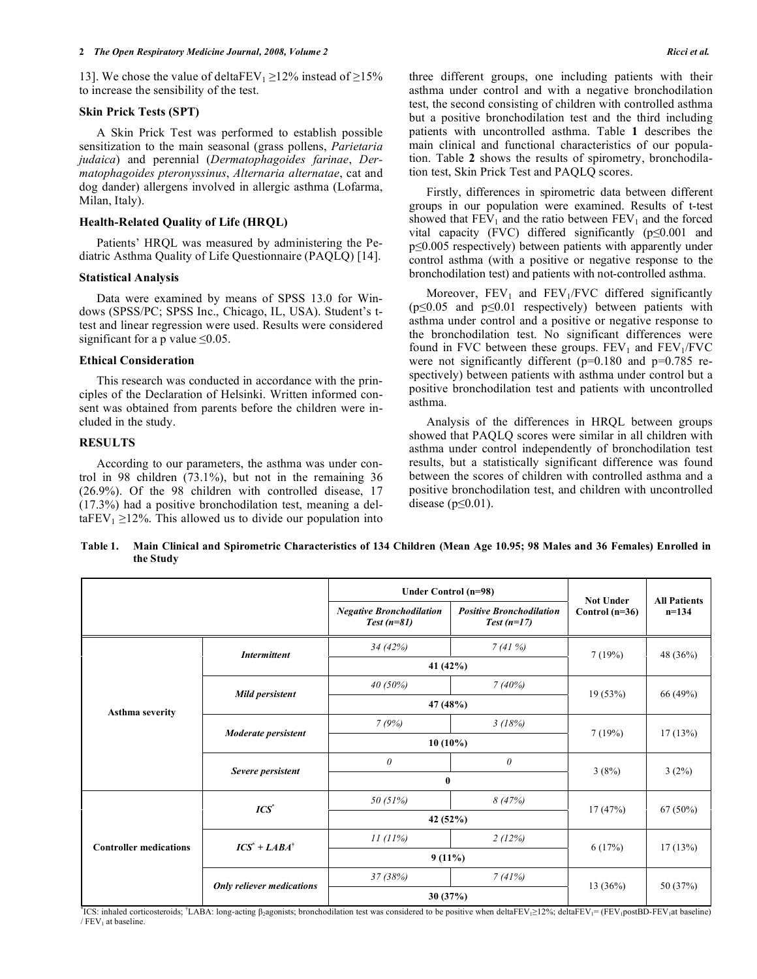13]. We chose the value of deltaFEV<sub>1</sub>  $\geq$ 12% instead of  $\geq$ 15% to increase the sensibility of the test.

#### **Skin Prick Tests (SPT)**

 A Skin Prick Test was performed to establish possible sensitization to the main seasonal (grass pollens, *Parietaria judaica*) and perennial (*Dermatophagoides farinae*, *Dermatophagoides pteronyssinus*, *Alternaria alternatae*, cat and dog dander) allergens involved in allergic asthma (Lofarma, Milan, Italy).

## **Health-Related Quality of Life (HRQL)**

 Patients' HRQL was measured by administering the Pediatric Asthma Quality of Life Questionnaire (PAQLQ) [14].

## **Statistical Analysis**

 Data were examined by means of SPSS 13.0 for Windows (SPSS/PC; SPSS Inc., Chicago, IL, USA). Student's ttest and linear regression were used. Results were considered significant for a p value  $\leq 0.05$ .

### **Ethical Consideration**

 This research was conducted in accordance with the principles of the Declaration of Helsinki. Written informed consent was obtained from parents before the children were included in the study.

## **RESULTS**

 According to our parameters, the asthma was under control in 98 children (73.1%), but not in the remaining 36 (26.9%). Of the 98 children with controlled disease, 17 (17.3%) had a positive bronchodilation test, meaning a del $taFEV<sub>1</sub> \ge 12%$ . This allowed us to divide our population into three different groups, one including patients with their asthma under control and with a negative bronchodilation test, the second consisting of children with controlled asthma but a positive bronchodilation test and the third including patients with uncontrolled asthma. Table **1** describes the main clinical and functional characteristics of our population. Table **2** shows the results of spirometry, bronchodilation test, Skin Prick Test and PAQLQ scores.

 Firstly, differences in spirometric data between different groups in our population were examined. Results of t-test showed that  $FEV_1$  and the ratio between  $FEV_1$  and the forced vital capacity (FVC) differed significantly  $(p \le 0.001$  and  $p\leq0.005$  respectively) between patients with apparently under control asthma (with a positive or negative response to the bronchodilation test) and patients with not-controlled asthma.

Moreover,  $FEV_1$  and  $FEV_1/FVC$  differed significantly  $(p \le 0.05$  and  $p \le 0.01$  respectively) between patients with asthma under control and a positive or negative response to the bronchodilation test. No significant differences were found in FVC between these groups.  $FEV<sub>1</sub>$  and  $FEV<sub>1</sub>/FVC$ were not significantly different ( $p=0.180$  and  $p=0.785$  respectively) between patients with asthma under control but a positive bronchodilation test and patients with uncontrolled asthma.

 Analysis of the differences in HRQL between groups showed that PAQLQ scores were similar in all children with asthma under control independently of bronchodilation test results, but a statistically significant difference was found between the scores of children with controlled asthma and a positive bronchodilation test, and children with uncontrolled disease ( $p \leq 0.01$ ).

**Table 1. Main Clinical and Spirometric Characteristics of 134 Children (Mean Age 10.95; 98 Males and 36 Females) Enrolled in the Study** 

|                               |                                  | Under Control (n=98) |                                                 | <b>Not Under</b><br>Control $(n=36)$ | <b>All Patients</b><br>$n=134$ |
|-------------------------------|----------------------------------|----------------------|-------------------------------------------------|--------------------------------------|--------------------------------|
|                               |                                  |                      | <b>Positive Bronchodilation</b><br>$Test(n=17)$ |                                      |                                |
|                               | <b>Intermittent</b>              | 34(42%)              | 7(41%)                                          | 7(19%)                               | 48 (36%)                       |
|                               |                                  | 41 (42%)             |                                                 |                                      |                                |
|                               |                                  | $40(50\%)$           | 7(40%)                                          | 19(53%)                              | 66 (49%)                       |
| <b>Asthma severity</b>        | Mild persistent                  | 47 (48%)             |                                                 |                                      |                                |
|                               |                                  | 7(9%)                | 3(18%)                                          |                                      |                                |
|                               | Moderate persistent              | $10(10\%)$           |                                                 | 7(19%)                               | 17(13%)                        |
|                               |                                  | $\theta$             | $\theta$                                        |                                      |                                |
|                               | Severe persistent                | $\bf{0}$             |                                                 | 3(8%)                                | 3(2%)                          |
|                               | ICS <sup>*</sup>                 | 50 (51%)             | 8(47%)                                          |                                      | $67(50\%)$                     |
|                               |                                  | 42 (52%)             |                                                 | 17(47%)                              |                                |
| <b>Controller medications</b> | $ICS^* + LABA^{\dagger}$         | 11(11%)              | 2(12%)                                          | 6(17%)                               | 17(13%)                        |
|                               |                                  | $9(11\%)$            |                                                 |                                      |                                |
|                               | <b>Only reliever medications</b> | 37 (38%)             | 7(41%)                                          |                                      |                                |
|                               |                                  | 30 (37%)             |                                                 | 13(36%)                              | 50 (37%)                       |

<sup>\*</sup>ICS: inhaled corticosteroids; <sup>\*</sup>LABA: long-acting  $\beta_2$ agonists; bronchodilation test was considered to be positive when deltaFEV<sub>1</sub>>12%; deltaFEV<sub>1</sub>= (FEV<sub>1</sub>postBD-FEV<sub>1</sub>at baseline) / FEV1 at baseline.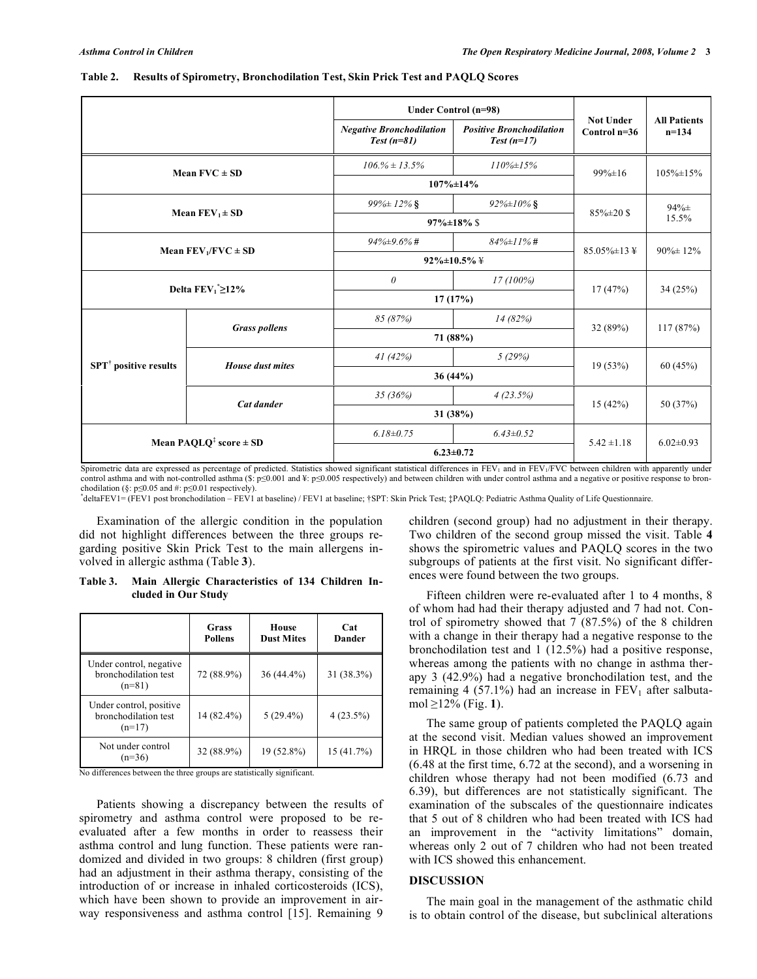|                                         |                                                         | Under Control (n=98)                            |                                                 |                                    |                                |
|-----------------------------------------|---------------------------------------------------------|-------------------------------------------------|-------------------------------------------------|------------------------------------|--------------------------------|
|                                         |                                                         | <b>Negative Bronchodilation</b><br>$Test(n=81)$ | <b>Positive Bronchodilation</b><br>$Test(n=17)$ | <b>Not Under</b><br>Control $n=36$ | <b>All Patients</b><br>$n=134$ |
| Mean $FVC \pm SD$                       |                                                         | $106.% \pm 13.5%$                               | $110\% \pm 15\%$                                | $99\% \pm 16$                      | $105\% \pm 15\%$               |
|                                         |                                                         |                                                 | $107\% \pm 14\%$                                |                                    |                                |
|                                         | Mean $FEV_1 \pm SD$                                     | $99\% \pm 12\%$ §                               | $92\% \pm 10\%$ §                               | $85\% \pm 20\$                     | $94% \pm$                      |
|                                         |                                                         | $97\% \pm 18\%$ \$                              |                                                 |                                    | 15.5%                          |
|                                         |                                                         | $94\% \pm 9.6\%$ #                              | $84\% \pm 11\%$ #                               | $85.05\% \pm 13 \;$ ¥              | $90\% \pm 12\%$                |
|                                         | Mean $FEV_1/FVC \pm SD$                                 | $92\% \pm 10.5\% \pm 10.5\%$                    |                                                 |                                    |                                |
|                                         |                                                         | $\theta$                                        | 17(100%)                                        | 17(47%)                            | 34(25%)                        |
|                                         | Delta $FEV_1^* \geq 12\%$                               | 17(17%)                                         |                                                 |                                    |                                |
|                                         |                                                         | 85 (87%)                                        | 14 (82%)                                        | 32(89%)                            | 117(87%)                       |
|                                         | <b>Grass pollens</b>                                    | 71 (88%)                                        |                                                 |                                    |                                |
| <b>SPT<sup>†</sup></b> positive results | House dust mites                                        | 41(42%)                                         | 5(29%)                                          | 19(53%)                            |                                |
|                                         |                                                         |                                                 | $36(44\%)$                                      |                                    | 60(45%)                        |
|                                         | Cat dander                                              | 35(36%)                                         | 4(23.5%)                                        | 15(42%)                            | 50 (37%)                       |
|                                         |                                                         |                                                 | 31 (38%)                                        |                                    |                                |
|                                         |                                                         | $6.18 \pm 0.75$                                 | $6.43 \pm 0.52$                                 | $5.42 \pm 1.18$                    | $6.02 \pm 0.93$                |
|                                         | Mean PAQLQ <sup><math>\ddag</math></sup> score $\pm$ SD |                                                 | $6.23 \pm 0.72$                                 |                                    |                                |

#### **Table 2. Results of Spirometry, Bronchodilation Test, Skin Prick Test and PAQLQ Scores**

Spirometric data are expressed as percentage of predicted. Statistics showed significant statistical differences in FEV<sub>1</sub> and in FEV<sub>1</sub>/FVC between children with apparently under control asthma and with not-controlled asthma (\$:  $p \le 0.001$  and  $\frac{y}{x}$ :  $p \le 0.005$  respectively) and between children with under control asthma and a negative or positive response to bronchodilation (§:  $p \le 0.05$  and #:  $p \le 0.01$  respectively).

**\*** deltaFEV1= (FEV1 post bronchodilation – FEV1 at baseline) / FEV1 at baseline; †SPT: Skin Prick Test; ‡PAQLQ: Pediatric Asthma Quality of Life Questionnaire.

 Examination of the allergic condition in the population did not highlight differences between the three groups regarding positive Skin Prick Test to the main allergens involved in allergic asthma (Table **3**).

**Table 3. Main Allergic Characteristics of 134 Children Included in Our Study** 

|                                                             | Grass<br><b>Pollens</b> | House<br><b>Dust Mites</b> | Cat<br>Dander |
|-------------------------------------------------------------|-------------------------|----------------------------|---------------|
| Under control, negative<br>bronchodilation test<br>$(n=81)$ | 72 (88.9%)              | $36(44.4\%)$               | 31 (38.3%)    |
| Under control, positive<br>bronchodilation test<br>$(n=17)$ | 14 (82.4%)              | $5(29.4\%)$                | $4(23.5\%)$   |
| Not under control<br>$(n=36)$                               | 32 (88.9%)              | 19 (52.8%)                 | 15(41.7%)     |

No differences between the three groups are statistically significant.

 Patients showing a discrepancy between the results of spirometry and asthma control were proposed to be reevaluated after a few months in order to reassess their asthma control and lung function. These patients were randomized and divided in two groups: 8 children (first group) had an adjustment in their asthma therapy, consisting of the introduction of or increase in inhaled corticosteroids (ICS), which have been shown to provide an improvement in airway responsiveness and asthma control [15]. Remaining 9

children (second group) had no adjustment in their therapy. Two children of the second group missed the visit. Table **4** shows the spirometric values and PAQLQ scores in the two subgroups of patients at the first visit. No significant differences were found between the two groups.

 Fifteen children were re-evaluated after 1 to 4 months, 8 of whom had had their therapy adjusted and 7 had not. Control of spirometry showed that 7 (87.5%) of the 8 children with a change in their therapy had a negative response to the bronchodilation test and 1 (12.5%) had a positive response, whereas among the patients with no change in asthma therapy 3 (42.9%) had a negative bronchodilation test, and the remaining 4 (57.1%) had an increase in  $FEV<sub>1</sub>$  after salbuta $mol \geq 12\%$  (Fig. 1).

 The same group of patients completed the PAQLQ again at the second visit. Median values showed an improvement in HRQL in those children who had been treated with ICS (6.48 at the first time, 6.72 at the second), and a worsening in children whose therapy had not been modified (6.73 and 6.39), but differences are not statistically significant. The examination of the subscales of the questionnaire indicates that 5 out of 8 children who had been treated with ICS had an improvement in the "activity limitations" domain, whereas only 2 out of 7 children who had not been treated with ICS showed this enhancement.

#### **DISCUSSION**

 The main goal in the management of the asthmatic child is to obtain control of the disease, but subclinical alterations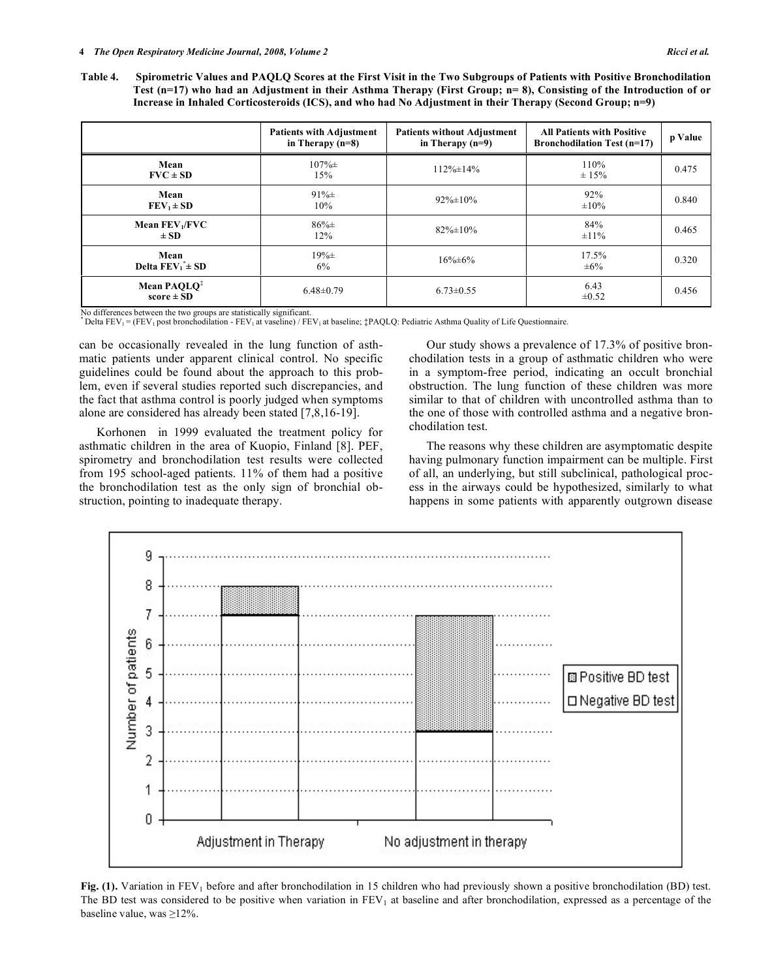**Table 4. Spirometric Values and PAQLQ Scores at the First Visit in the Two Subgroups of Patients with Positive Bronchodilation Test (n=17) who had an Adjustment in their Asthma Therapy (First Group; n= 8), Consisting of the Introduction of or Increase in Inhaled Corticosteroids (ICS), and who had No Adjustment in their Therapy (Second Group; n=9)** 

|                                           | <b>Patients with Adjustment</b><br>in Therapy $(n=8)$ | <b>Patients without Adjustment</b><br>in Therapy $(n=9)$ | <b>All Patients with Positive</b><br><b>Bronchodilation Test (n=17)</b> | p Value |
|-------------------------------------------|-------------------------------------------------------|----------------------------------------------------------|-------------------------------------------------------------------------|---------|
| Mean<br>$FVC \pm SD$                      | $107\% \pm$<br>15%                                    | $112\% \pm 14\%$                                         | 110%<br>± 15%                                                           | 0.475   |
| Mean<br>$FEV_1 \pm SD$                    | $91\% \pm$<br>10%                                     | $92\% \pm 10\%$                                          | 92%<br>$\pm 10\%$                                                       | 0.840   |
| Mean $FEV1/FVC$<br>$\pm SD$               | $86\% \pm$<br>12%                                     | $82\% \pm 10\%$                                          | 84%<br>$\pm 11\%$                                                       | 0.465   |
| Mean<br>Delta $FEV_1^* \pm SD$            | $19% \pm$<br>6%                                       | $16\% \pm 6\%$                                           | 17.5%<br>$\pm 6\%$                                                      | 0.320   |
| Mean PAQLQ <sup>3</sup><br>$score \pm SD$ | $6.48 \pm 0.79$                                       | $6.73 \pm 0.55$                                          | 6.43<br>$\pm 0.52$                                                      | 0.456   |

No differences between the two groups are statistically significant.

\* Delta FEV1 = (FEV1 post bronchodilation - FEV1 at vaseline) / FEV1 at baseline; ‡PAQLQ: Pediatric Asthma Quality of Life Questionnaire.

can be occasionally revealed in the lung function of asthmatic patients under apparent clinical control. No specific guidelines could be found about the approach to this problem, even if several studies reported such discrepancies, and the fact that asthma control is poorly judged when symptoms alone are considered has already been stated [7,8,16-19].

 Korhonen in 1999 evaluated the treatment policy for asthmatic children in the area of Kuopio, Finland [8]. PEF, spirometry and bronchodilation test results were collected from 195 school-aged patients. 11% of them had a positive the bronchodilation test as the only sign of bronchial obstruction, pointing to inadequate therapy.

 Our study shows a prevalence of 17.3% of positive bronchodilation tests in a group of asthmatic children who were in a symptom-free period, indicating an occult bronchial obstruction. The lung function of these children was more similar to that of children with uncontrolled asthma than to the one of those with controlled asthma and a negative bronchodilation test.

 The reasons why these children are asymptomatic despite having pulmonary function impairment can be multiple. First of all, an underlying, but still subclinical, pathological process in the airways could be hypothesized, similarly to what happens in some patients with apparently outgrown disease



**Fig. (1).** Variation in FEV<sub>1</sub> before and after bronchodilation in 15 children who had previously shown a positive bronchodilation (BD) test. The BD test was considered to be positive when variation in  $FEV<sub>1</sub>$  at baseline and after bronchodilation, expressed as a percentage of the baseline value, was  $\geq$ 12%.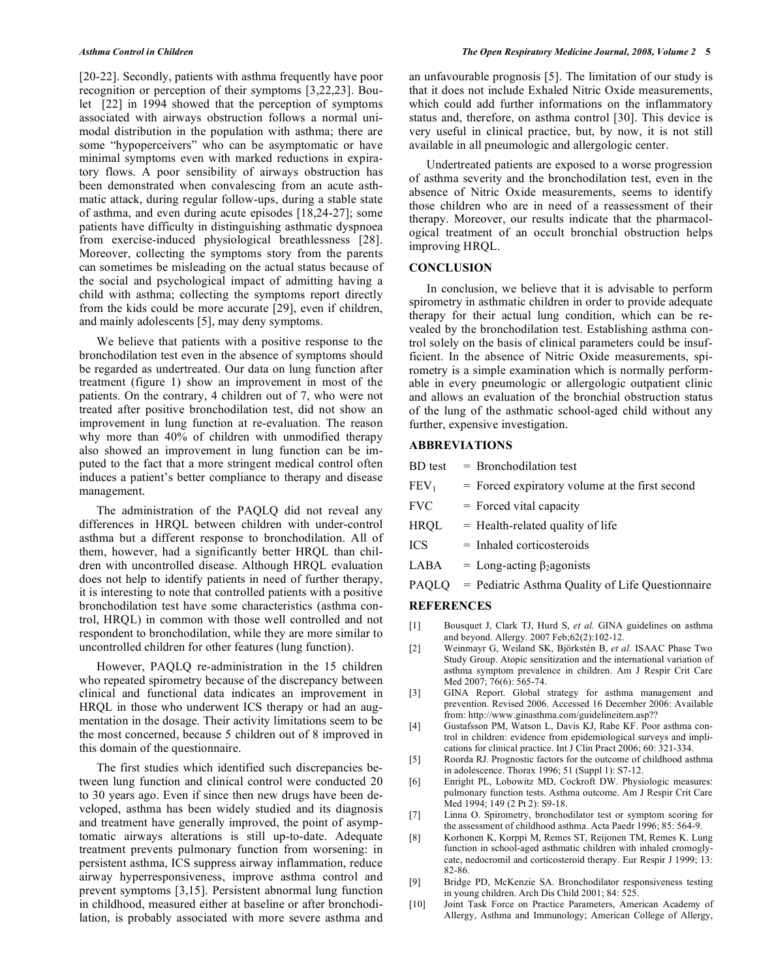[20-22]. Secondly, patients with asthma frequently have poor recognition or perception of their symptoms [3,22,23]. Boulet [22] in 1994 showed that the perception of symptoms associated with airways obstruction follows a normal unimodal distribution in the population with asthma; there are some "hypoperceivers" who can be asymptomatic or have minimal symptoms even with marked reductions in expiratory flows. A poor sensibility of airways obstruction has been demonstrated when convalescing from an acute asthmatic attack, during regular follow-ups, during a stable state of asthma, and even during acute episodes [18,24-27]; some patients have difficulty in distinguishing asthmatic dyspnoea from exercise-induced physiological breathlessness [28]. Moreover, collecting the symptoms story from the parents can sometimes be misleading on the actual status because of the social and psychological impact of admitting having a child with asthma; collecting the symptoms report directly from the kids could be more accurate [29], even if children, and mainly adolescents [5], may deny symptoms.

 We believe that patients with a positive response to the bronchodilation test even in the absence of symptoms should be regarded as undertreated. Our data on lung function after treatment (figure 1) show an improvement in most of the patients. On the contrary, 4 children out of 7, who were not treated after positive bronchodilation test, did not show an improvement in lung function at re-evaluation. The reason why more than 40% of children with unmodified therapy also showed an improvement in lung function can be imputed to the fact that a more stringent medical control often induces a patient's better compliance to therapy and disease management.

 The administration of the PAQLQ did not reveal any differences in HRQL between children with under-control asthma but a different response to bronchodilation. All of them, however, had a significantly better HRQL than children with uncontrolled disease. Although HRQL evaluation does not help to identify patients in need of further therapy, it is interesting to note that controlled patients with a positive bronchodilation test have some characteristics (asthma control, HRQL) in common with those well controlled and not respondent to bronchodilation, while they are more similar to uncontrolled children for other features (lung function).

 However, PAQLQ re-administration in the 15 children who repeated spirometry because of the discrepancy between clinical and functional data indicates an improvement in HRQL in those who underwent ICS therapy or had an augmentation in the dosage. Their activity limitations seem to be the most concerned, because 5 children out of 8 improved in this domain of the questionnaire.

 The first studies which identified such discrepancies between lung function and clinical control were conducted 20 to 30 years ago. Even if since then new drugs have been developed, asthma has been widely studied and its diagnosis and treatment have generally improved, the point of asymptomatic airways alterations is still up-to-date. Adequate treatment prevents pulmonary function from worsening: in persistent asthma, ICS suppress airway inflammation, reduce airway hyperresponsiveness, improve asthma control and prevent symptoms [3,15]. Persistent abnormal lung function in childhood, measured either at baseline or after bronchodilation, is probably associated with more severe asthma and

an unfavourable prognosis [5]. The limitation of our study is that it does not include Exhaled Nitric Oxide measurements, which could add further informations on the inflammatory status and, therefore, on asthma control [30]. This device is very useful in clinical practice, but, by now, it is not still available in all pneumologic and allergologic center.

 Undertreated patients are exposed to a worse progression of asthma severity and the bronchodilation test, even in the absence of Nitric Oxide measurements, seems to identify those children who are in need of a reassessment of their therapy. Moreover, our results indicate that the pharmacological treatment of an occult bronchial obstruction helps improving HRQL.

#### **CONCLUSION**

 In conclusion, we believe that it is advisable to perform spirometry in asthmatic children in order to provide adequate therapy for their actual lung condition, which can be revealed by the bronchodilation test. Establishing asthma control solely on the basis of clinical parameters could be insufficient. In the absence of Nitric Oxide measurements, spirometry is a simple examination which is normally performable in every pneumologic or allergologic outpatient clinic and allows an evaluation of the bronchial obstruction status of the lung of the asthmatic school-aged child without any further, expensive investigation.

### **ABBREVIATIONS**

| Bronchodilation test<br><b>BD</b> test |
|----------------------------------------|
|----------------------------------------|

- $FEV<sub>1</sub>$  = Forced expiratory volume at the first second
- $FVC = Fored vital capacity$
- $HROL = Health-related quality of life$
- ICS = Inhaled corticosteroids
- LABA = Long-acting  $\beta_2$  agonists
- PAQLQ = Pediatric Asthma Quality of Life Questionnaire

#### **REFERENCES**

- [1] Bousquet J, Clark TJ, Hurd S, *et al.* GINA guidelines on asthma and beyond. Allergy. 2007 Feb;62(2):102-12.
- [2] Weinmayr G, Weiland SK, Björkstén B, *et al.* ISAAC Phase Two Study Group. Atopic sensitization and the international variation of asthma symptom prevalence in children. Am J Respir Crit Care Med 2007; 76(6): 565-74.
- [3] GINA Report. Global strategy for asthma management and prevention. Revised 2006. Accessed 16 December 2006: Available from: http://www.ginasthma.com/guidelineitem.asp??
- [4] Gustafsson PM, Watson L, Davis KJ, Rabe KF. Poor asthma control in children: evidence from epidemiological surveys and implications for clinical practice. Int J Clin Pract 2006; 60: 321-334.
- [5] Roorda RJ. Prognostic factors for the outcome of childhood asthma in adolescence. Thorax 1996; 51 (Suppl 1): S7-12.
- [6] Enright PL, Lobowitz MD, Cockroft DW. Physiologic measures: pulmonary function tests. Asthma outcome. Am J Respir Crit Care Med 1994; 149 (2 Pt 2): S9-18.
- [7] Linna O. Spirometry, bronchodilator test or symptom scoring for the assessment of childhood asthma. Acta Paedr 1996; 85: 564-9.
- [8] Korhonen K, Korppi M, Remes ST, Reijonen TM, Remes K. Lung function in school-aged asthmatic children with inhaled cromoglycate, nedocromil and corticosteroid therapy. Eur Respir J 1999; 13: 82-86.
- [9] Bridge PD, McKenzie SA. Bronchodilator responsiveness testing in young children. Arch Dis Child 2001; 84: 525.
- [10] Joint Task Force on Practice Parameters, American Academy of Allergy, Asthma and Immunology; American College of Allergy,